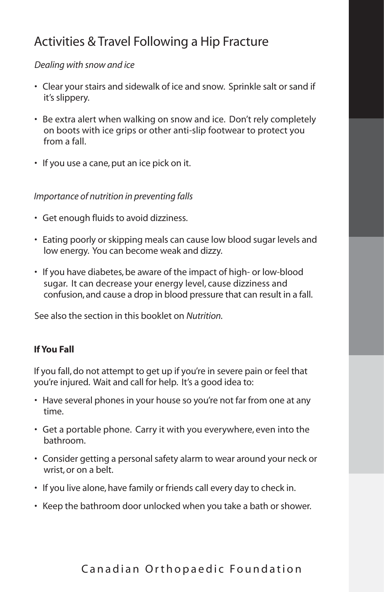# Activities & Travel Following a Hip Fracture

#### *Dealing with snow and ice*

- Clear your stairs and sidewalk of ice and snow. Sprinkle salt or sand if it's slippery.
- Be extra alert when walking on snow and ice. Don't rely completely on boots with ice grips or other anti-slip footwear to protect you from a fall.
- If you use a cane, put an ice pick on it.

#### *Importance of nutrition in preventing falls*

- Get enough fluids to avoid dizziness.
- Eating poorly or skipping meals can cause low blood sugar levels and low energy. You can become weak and dizzy.
- If you have diabetes, be aware of the impact of high- or low-blood sugar. It can decrease your energy level, cause dizziness and confusion, and cause a drop in blood pressure that can result in a fall.

See also the section in this booklet on *Nutrition.*

#### **If You Fall**

If you fall, do not attempt to get up if you're in severe pain or feel that you're injured. Wait and call for help. It's a good idea to:

- Have several phones in your house so you're not far from one at any time.
- Get a portable phone. Carry it with you everywhere, even into the bathroom.
- Consider getting a personal safety alarm to wear around your neck or wrist, or on a belt.
- If you live alone, have family or friends call every day to check in.
- Keep the bathroom door unlocked when you take a bath or shower.

## Canadian Orthopaedic Foundation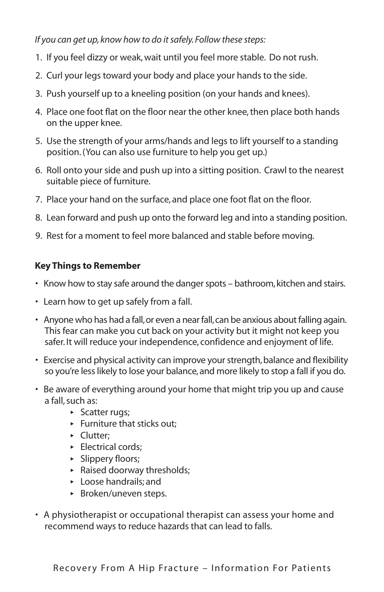*If you can get up, know how to do it safely. Follow these steps:*

- 1. If you feel dizzy or weak, wait until you feel more stable. Do not rush.
- 2. Curl your legs toward your body and place your hands to the side.
- 3. Push yourself up to a kneeling position (on your hands and knees).
- 4. Place one foot flat on the floor near the other knee, then place both hands on the upper knee.
- 5. Use the strength of your arms/hands and legs to lift yourself to a standing position. (You can also use furniture to help you get up.)
- 6. Roll onto your side and push up into a sitting position. Crawl to the nearest suitable piece of furniture.
- 7. Place your hand on the surface, and place one foot flat on the floor.
- 8. Lean forward and push up onto the forward leg and into a standing position.
- 9. Rest for a moment to feel more balanced and stable before moving.

### **Key Things to Remember**

- Know how to stay safe around the danger spots bathroom, kitchen and stairs.
- Learn how to get up safely from a fall.
- Anyone who has had a fall, or even a near fall, can be anxious about falling again. This fear can make you cut back on your activity but it might not keep you safer. It will reduce your independence, confidence and enjoyment of life.
- Exercise and physical activity can improve your strength, balance and flexibility so you're less likely to lose your balance, and more likely to stop a fall if you do.
- Be aware of everything around your home that might trip you up and cause a fall, such as:
	- **‣** Scatter rugs;
	- **‣** Furniture that sticks out;
	- **‣** Clutter;
	- **‣** Electrical cords;
	- **‣** Slippery floors;
	- **‣** Raised doorway thresholds;
	- **‣** Loose handrails; and
	- **‣** Broken/uneven steps.
- A physiotherapist or occupational therapist can assess your home and recommend ways to reduce hazards that can lead to falls.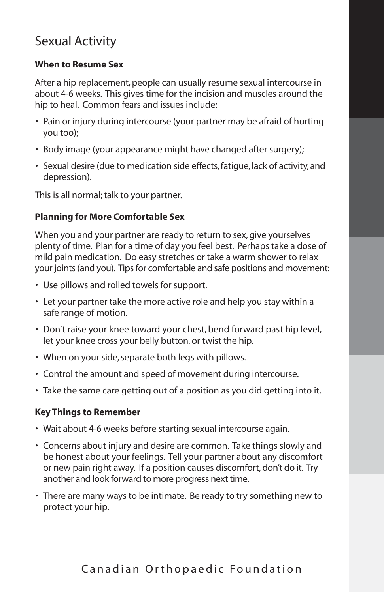## Sexual Activity

#### **When to Resume Sex**

After a hip replacement, people can usually resume sexual intercourse in about 4-6 weeks. This gives time for the incision and muscles around the hip to heal. Common fears and issues include:

- Pain or injury during intercourse (your partner may be afraid of hurting you too);
- Body image (your appearance might have changed after surgery);
- Sexual desire (due to medication side effects, fatigue, lack of activity, and depression).

This is all normal; talk to your partner.

#### **Planning for More Comfortable Sex**

When you and your partner are ready to return to sex, give yourselves plenty of time. Plan for a time of day you feel best. Perhaps take a dose of mild pain medication. Do easy stretches or take a warm shower to relax your joints (and you). Tips for comfortable and safe positions and movement:

- Use pillows and rolled towels for support.
- Let your partner take the more active role and help you stay within a safe range of motion.
- Don't raise your knee toward your chest, bend forward past hip level, let your knee cross your belly button, or twist the hip.
- When on your side, separate both legs with pillows.
- Control the amount and speed of movement during intercourse.
- Take the same care getting out of a position as you did getting into it.

#### **Key Things to Remember**

- Wait about 4-6 weeks before starting sexual intercourse again.
- Concerns about injury and desire are common. Take things slowly and be honest about your feelings. Tell your partner about any discomfort or new pain right away. If a position causes discomfort, don't do it. Try another and look forward to more progress next time.
- There are many ways to be intimate. Be ready to try something new to protect your hip.